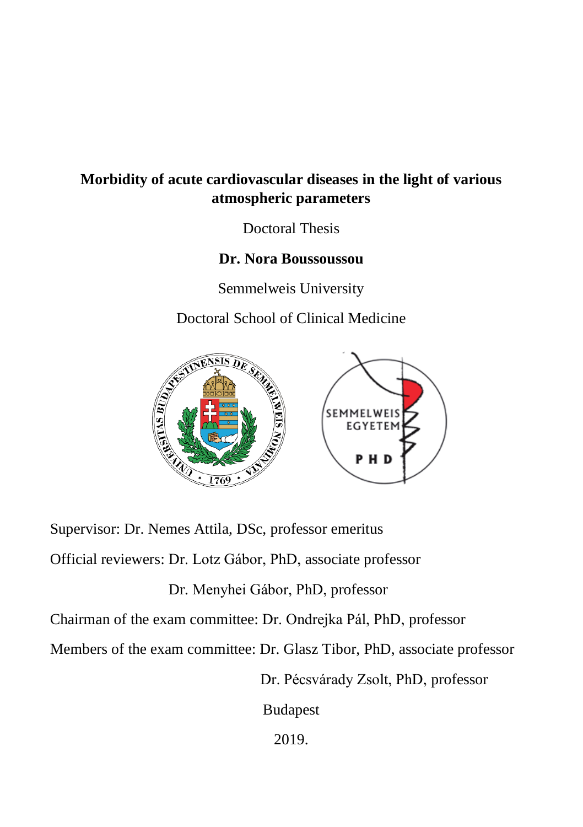## **Morbidity of acute cardiovascular diseases in the light of various atmospheric parameters**

Doctoral Thesis

### **Dr. Nora Boussoussou**

Semmelweis University

Doctoral School of Clinical Medicine



Supervisor: Dr. Nemes Attila, DSc, professor emeritus Official reviewers: Dr. Lotz Gábor, PhD, associate professor Dr. Menyhei Gábor, PhD, professor Chairman of the exam committee: Dr. Ondrejka Pál, PhD, professor Members of the exam committee: Dr. Glasz Tibor, PhD, associate professor Dr. Pécsvárady Zsolt, PhD, professor Budapest

2019.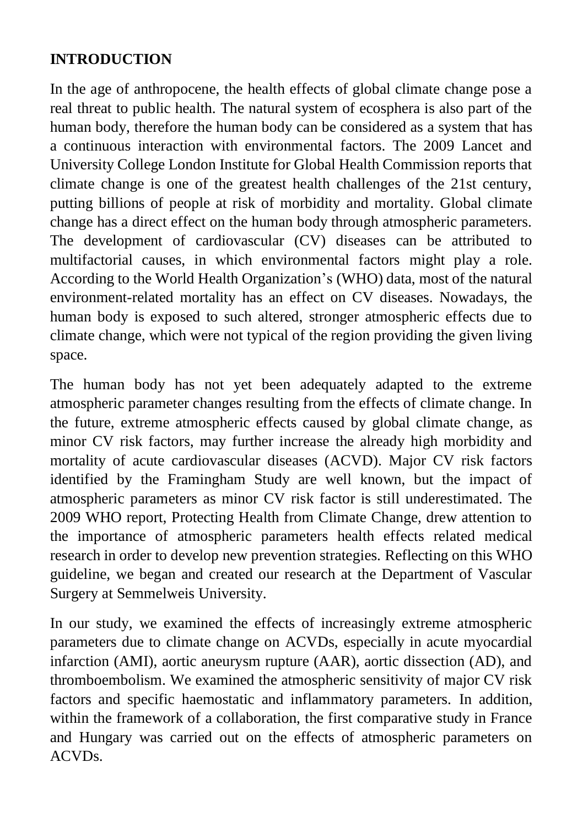## **INTRODUCTION**

In the age of anthropocene, the health effects of global climate change pose a real threat to public health. The natural system of ecosphera is also part of the human body, therefore the human body can be considered as a system that has a continuous interaction with environmental factors. The 2009 Lancet and University College London Institute for Global Health Commission reports that climate change is one of the greatest health challenges of the 21st century, putting billions of people at risk of morbidity and mortality. Global climate change has a direct effect on the human body through atmospheric parameters. The development of cardiovascular (CV) diseases can be attributed to multifactorial causes, in which environmental factors might play a role. According to the World Health Organization's (WHO) data, most of the natural environment-related mortality has an effect on CV diseases. Nowadays, the human body is exposed to such altered, stronger atmospheric effects due to climate change, which were not typical of the region providing the given living space.

The human body has not yet been adequately adapted to the extreme atmospheric parameter changes resulting from the effects of climate change. In the future, extreme atmospheric effects caused by global climate change, as minor CV risk factors, may further increase the already high morbidity and mortality of acute cardiovascular diseases (ACVD). Major CV risk factors identified by the Framingham Study are well known, but the impact of atmospheric parameters as minor CV risk factor is still underestimated. The 2009 WHO report, Protecting Health from Climate Change, drew attention to the importance of atmospheric parameters health effects related medical research in order to develop new prevention strategies. Reflecting on this WHO guideline, we began and created our research at the Department of Vascular Surgery at Semmelweis University.

In our study, we examined the effects of increasingly extreme atmospheric parameters due to climate change on ACVDs, especially in acute myocardial infarction (AMI), aortic aneurysm rupture (AAR), aortic dissection (AD), and thromboembolism. We examined the atmospheric sensitivity of major CV risk factors and specific haemostatic and inflammatory parameters. In addition, within the framework of a collaboration, the first comparative study in France and Hungary was carried out on the effects of atmospheric parameters on ACVDs.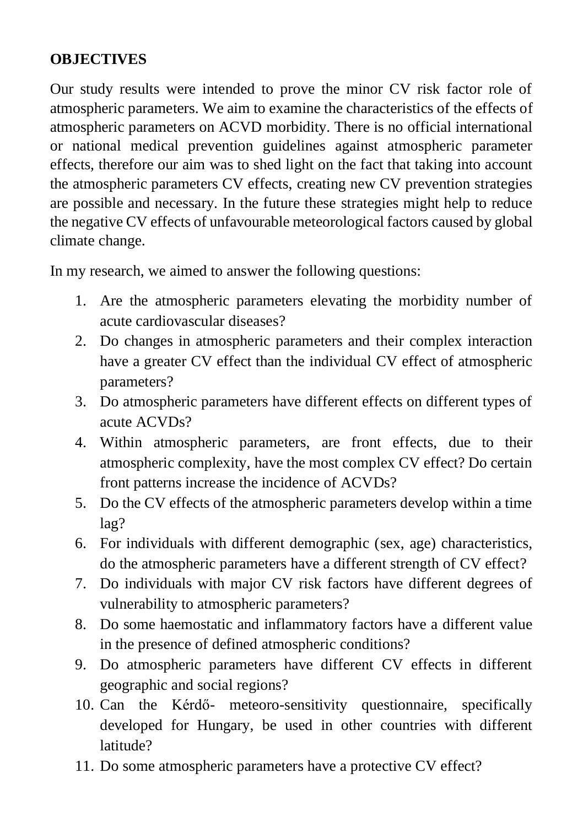# **OBJECTIVES**

Our study results were intended to prove the minor CV risk factor role of atmospheric parameters. We aim to examine the characteristics of the effects of atmospheric parameters on ACVD morbidity. There is no official international or national medical prevention guidelines against atmospheric parameter effects, therefore our aim was to shed light on the fact that taking into account the atmospheric parameters CV effects, creating new CV prevention strategies are possible and necessary. In the future these strategies might help to reduce the negative CV effects of unfavourable meteorological factors caused by global climate change.

In my research, we aimed to answer the following questions:

- 1. Are the atmospheric parameters elevating the morbidity number of acute cardiovascular diseases?
- 2. Do changes in atmospheric parameters and their complex interaction have a greater CV effect than the individual CV effect of atmospheric parameters?
- 3. Do atmospheric parameters have different effects on different types of acute ACVDs?
- 4. Within atmospheric parameters, are front effects, due to their atmospheric complexity, have the most complex CV effect? Do certain front patterns increase the incidence of ACVDs?
- 5. Do the CV effects of the atmospheric parameters develop within a time lag?
- 6. For individuals with different demographic (sex, age) characteristics, do the atmospheric parameters have a different strength of CV effect?
- 7. Do individuals with major CV risk factors have different degrees of vulnerability to atmospheric parameters?
- 8. Do some haemostatic and inflammatory factors have a different value in the presence of defined atmospheric conditions?
- 9. Do atmospheric parameters have different CV effects in different geographic and social regions?
- 10. Can the Kérdő- meteoro-sensitivity questionnaire, specifically developed for Hungary, be used in other countries with different latitude?
- 11. Do some atmospheric parameters have a protective CV effect?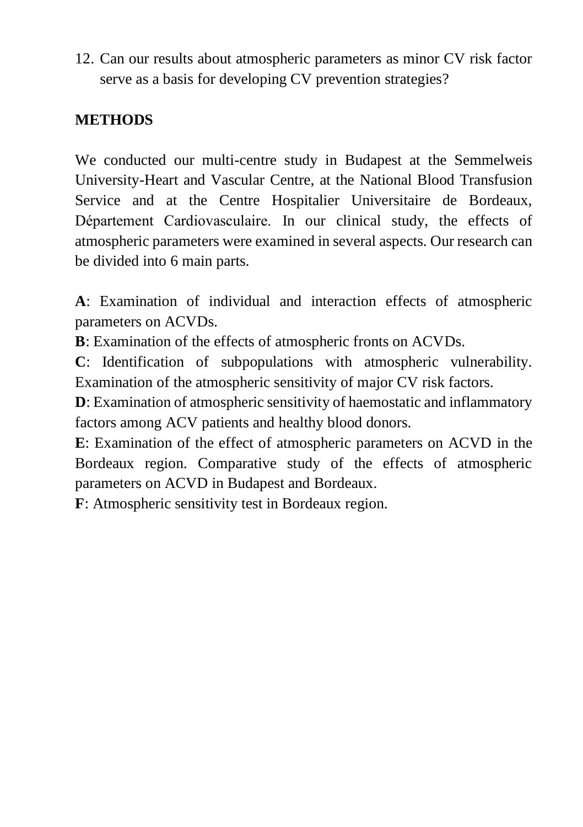12. Can our results about atmospheric parameters as minor CV risk factor serve as a basis for developing CV prevention strategies?

## **METHODS**

We conducted our multi-centre study in Budapest at the Semmelweis University-Heart and Vascular Centre, at the National Blood Transfusion Service and at the Centre Hospitalier Universitaire de Bordeaux, Département Cardiovasculaire. In our clinical study, the effects of atmospheric parameters were examined in several aspects. Our research can be divided into 6 main parts.

**A**: Examination of individual and interaction effects of atmospheric parameters on ACVDs.

**B**: Examination of the effects of atmospheric fronts on ACVDs.

**C**: Identification of subpopulations with atmospheric vulnerability. Examination of the atmospheric sensitivity of major CV risk factors.

**D**: Examination of atmospheric sensitivity of haemostatic and inflammatory factors among ACV patients and healthy blood donors.

**E**: Examination of the effect of atmospheric parameters on ACVD in the Bordeaux region. Comparative study of the effects of atmospheric parameters on ACVD in Budapest and Bordeaux.

**F**: Atmospheric sensitivity test in Bordeaux region.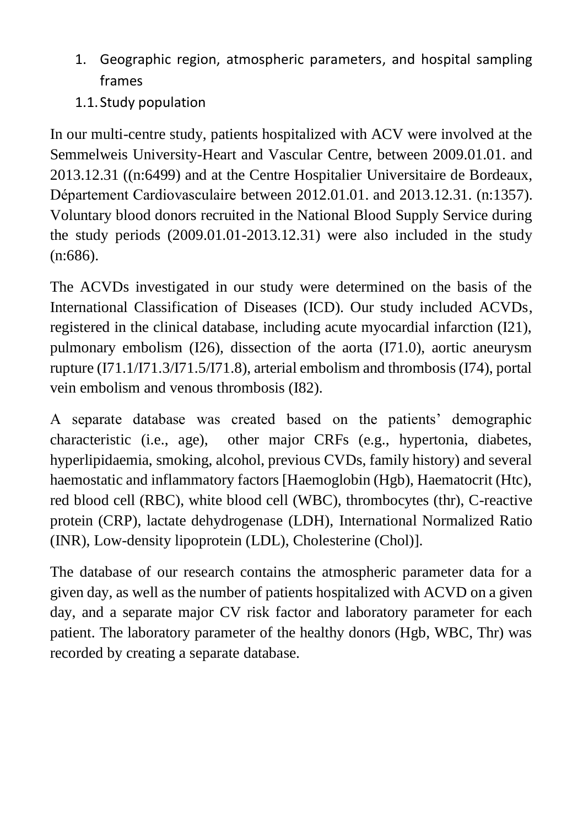- 1. Geographic region, atmospheric parameters, and hospital sampling frames
- 1.1.Study population

In our multi-centre study, patients hospitalized with ACV were involved at the Semmelweis University-Heart and Vascular Centre, between 2009.01.01. and 2013.12.31 ((n:6499) and at the Centre Hospitalier Universitaire de Bordeaux, Département Cardiovasculaire between 2012.01.01. and 2013.12.31. (n:1357). Voluntary blood donors recruited in the National Blood Supply Service during the study periods (2009.01.01-2013.12.31) were also included in the study (n:686).

The ACVDs investigated in our study were determined on the basis of the International Classification of Diseases (ICD). Our study included ACVDs, registered in the clinical database, including acute myocardial infarction (I21), pulmonary embolism (I26), dissection of the aorta (I71.0), aortic aneurysm rupture (I71.1/I71.3/I71.5/I71.8), arterial embolism and thrombosis (I74), portal vein embolism and venous thrombosis (I82).

A separate database was created based on the patients' demographic characteristic (i.e., age), other major CRFs (e.g., hypertonia, diabetes, hyperlipidaemia, smoking, alcohol, previous CVDs, family history) and several haemostatic and inflammatory factors [Haemoglobin (Hgb), Haematocrit (Htc), red blood cell (RBC), white blood cell (WBC), thrombocytes (thr), C-reactive protein (CRP), lactate dehydrogenase (LDH), International Normalized Ratio (INR), Low-density lipoprotein (LDL), Cholesterine (Chol)].

The database of our research contains the atmospheric parameter data for a given day, as well as the number of patients hospitalized with ACVD on a given day, and a separate major CV risk factor and laboratory parameter for each patient. The laboratory parameter of the healthy donors (Hgb, WBC, Thr) was recorded by creating a separate database.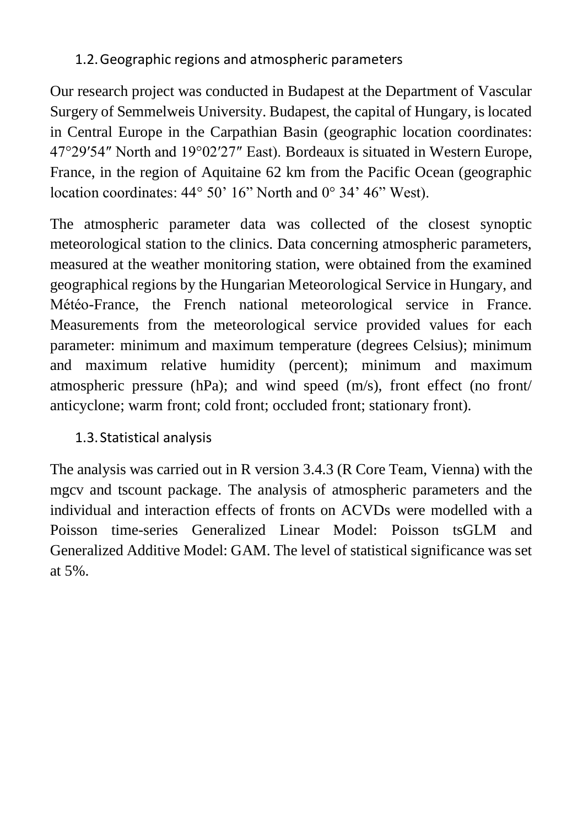## 1.2.Geographic regions and atmospheric parameters

Our research project was conducted in Budapest at the Department of Vascular Surgery of Semmelweis University. Budapest, the capital of Hungary, is located in Central Europe in the Carpathian Basin (geographic location coordinates: 47°29′54″ North and 19°02′27″ East). Bordeaux is situated in Western Europe, France, in the region of Aquitaine 62 km from the Pacific Ocean (geographic location coordinates: 44° 50' 16" North and 0° 34' 46" West).

The atmospheric parameter data was collected of the closest synoptic meteorological station to the clinics. Data concerning atmospheric parameters, measured at the weather monitoring station, were obtained from the examined geographical regions by the Hungarian Meteorological Service in Hungary, and Météo-France, the French national meteorological service in France. Measurements from the meteorological service provided values for each parameter: minimum and maximum temperature (degrees Celsius); minimum and maximum relative humidity (percent); minimum and maximum atmospheric pressure (hPa); and wind speed (m/s), front effect (no front/ anticyclone; warm front; cold front; occluded front; stationary front).

# 1.3.Statistical analysis

The analysis was carried out in R version 3.4.3 (R Core Team, Vienna) with the mgcv and tscount package. The analysis of atmospheric parameters and the individual and interaction effects of fronts on ACVDs were modelled with a Poisson time-series Generalized Linear Model: Poisson tsGLM and Generalized Additive Model: GAM. The level of statistical significance was set at 5%.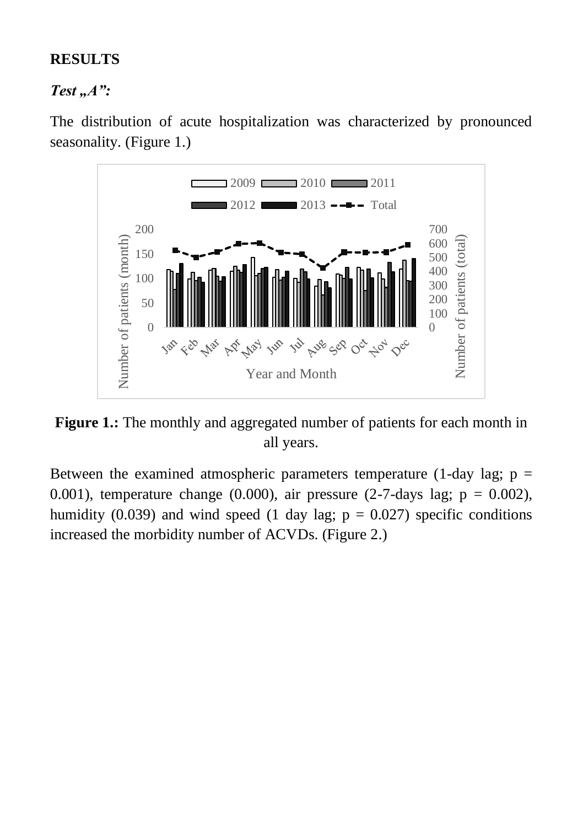### **RESULTS**

#### *Test* ..*A*":

The distribution of acute hospitalization was characterized by pronounced seasonality. (Figure 1.)



**Figure 1.:** The monthly and aggregated number of patients for each month in all years.

Between the examined atmospheric parameters temperature (1-day lag;  $p =$ 0.001), temperature change (0.000), air pressure (2-7-days lag;  $p = 0.002$ ), humidity (0.039) and wind speed (1 day lag;  $p = 0.027$ ) specific conditions increased the morbidity number of ACVDs. (Figure 2.)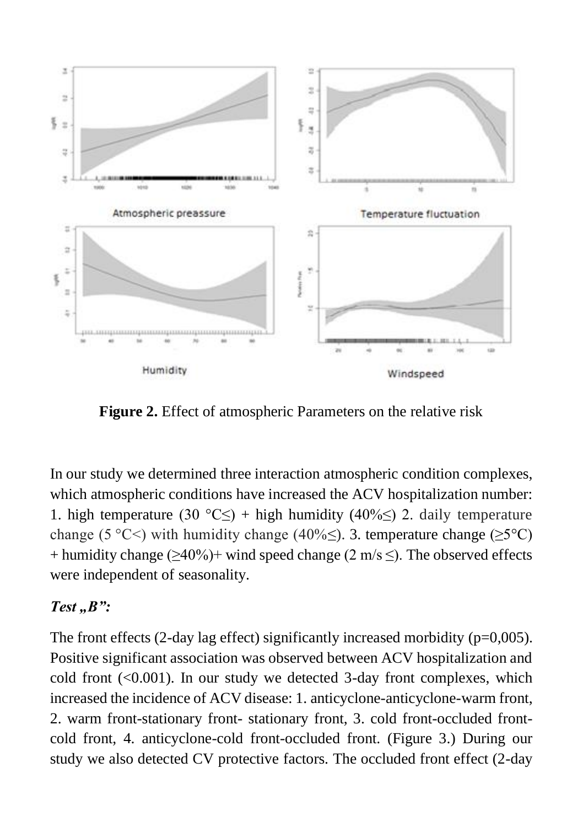

**Figure 2.** Effect of atmospheric Parameters on the relative risk

In our study we determined three interaction atmospheric condition complexes, which atmospheric conditions have increased the ACV hospitalization number: 1. high temperature (30 °C≤) + high humidity (40%≤) 2. daily temperature change (5 °C<) with humidity change (40%≤). 3. temperature change ( $\geq$ 5°C)  $+$  humidity change ( $>40\%$ ) + wind speed change (2 m/s  $\leq$ ). The observed effects were independent of seasonality.

### *Test* ..*B*":

The front effects  $(2$ -day lag effect) significantly increased morbidity  $(p=0.005)$ . Positive significant association was observed between ACV hospitalization and cold front  $(<0.001$ ). In our study we detected 3-day front complexes, which increased the incidence of ACV disease: 1. anticyclone-anticyclone-warm front, 2. warm front-stationary front- stationary front, 3. cold front-occluded frontcold front, 4. anticyclone-cold front-occluded front. (Figure 3.) During our study we also detected CV protective factors. The occluded front effect (2-day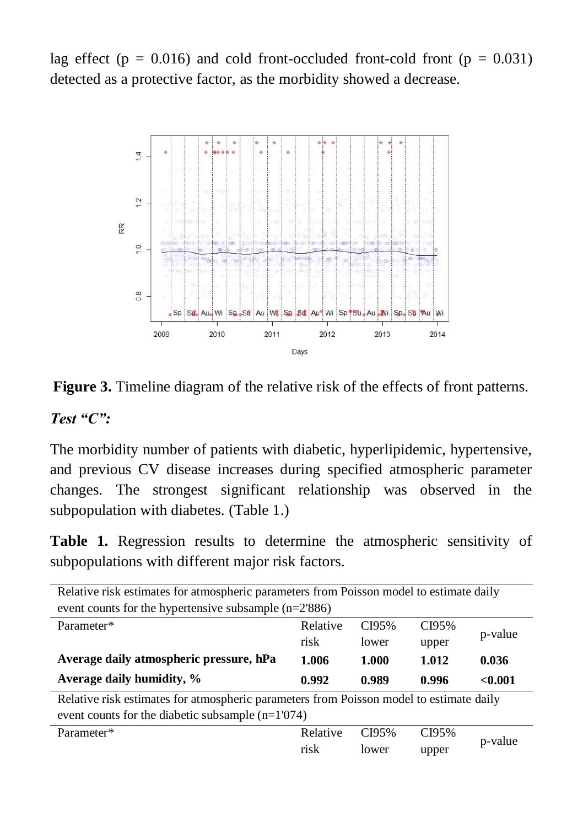lag effect ( $p = 0.016$ ) and cold front-occluded front-cold front ( $p = 0.031$ ) detected as a protective factor, as the morbidity showed a decrease.



**Figure 3.** Timeline diagram of the relative risk of the effects of front patterns.

#### *Test "C":*

The morbidity number of patients with diabetic, hyperlipidemic, hypertensive, and previous CV disease increases during specified atmospheric parameter changes. The strongest significant relationship was observed in the subpopulation with diabetes. (Table 1.)

**Table 1.** Regression results to determine the atmospheric sensitivity of subpopulations with different major risk factors.

Relative risk estimates for atmospheric parameters from Poisson model to estimate daily event counts for the hypertensive subsample (n=2'886) Parameter\* Relative risk CI95% lower CI95% upper p-value **Average daily atmospheric pressure, hPa 1.006 1.000 1.012 0.036 Average daily humidity, % 0.992 0.989 0.996 <0.001** Relative risk estimates for atmospheric parameters from Poisson model to estimate daily

| event counts for the diabetic subsample $(n=1'074)$ |                 |       |       |         |  |
|-----------------------------------------------------|-----------------|-------|-------|---------|--|
| Parameter*                                          | Relative CI95\% |       | CI95% | p-value |  |
|                                                     | risk            | lower | upper |         |  |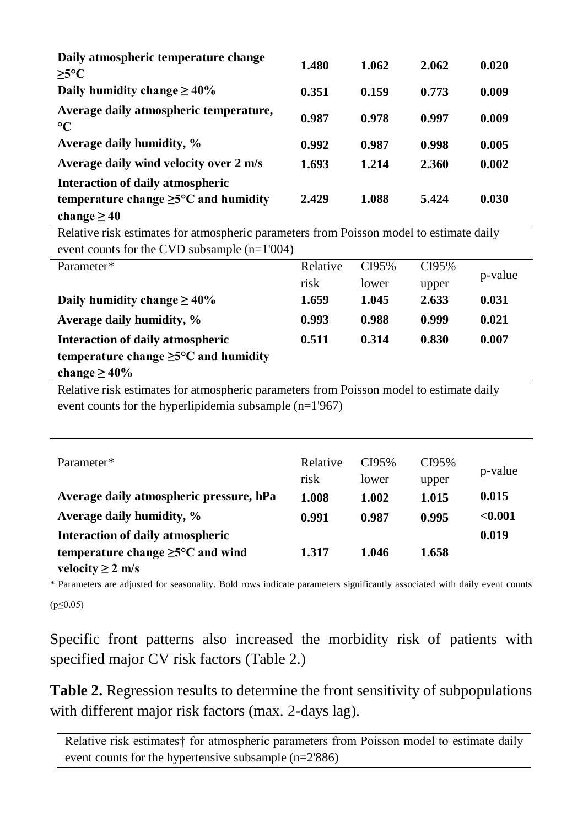| Daily atmospheric temperature change                      | 1.480 | 1.062 | 2.062 | 0.020 |
|-----------------------------------------------------------|-------|-------|-------|-------|
| $>5^{\circ}C$                                             |       |       |       |       |
| Daily humidity change $\geq 40\%$                         | 0.351 | 0.159 | 0.773 | 0.009 |
| Average daily atmospheric temperature,<br>$\rm ^{\circ}C$ | 0.987 | 0.978 | 0.997 | 0.009 |
| Average daily humidity, %                                 | 0.992 | 0.987 | 0.998 | 0.005 |
| Average daily wind velocity over 2 m/s                    | 1.693 | 1.214 | 2.360 | 0.002 |
| Interaction of daily atmospheric                          |       |       |       |       |
| temperature change $\geq 5^{\circ}$ C and humidity        | 2.429 | 1.088 | 5.424 | 0.030 |
| change $\geq 40$                                          |       |       |       |       |

Relative risk estimates for atmospheric parameters from Poisson model to estimate daily event counts for the CVD subsample (n=1'004)

| Parameter*                                         | Relative | CI95% | CI95% |         |
|----------------------------------------------------|----------|-------|-------|---------|
|                                                    | risk     | lower | upper | p-value |
| Daily humidity change $\geq 40\%$                  | 1.659    | 1.045 | 2.633 | 0.031   |
| Average daily humidity, %                          | 0.993    | 0.988 | 0.999 | 0.021   |
| Interaction of daily atmospheric                   | 0.511    | 0.314 | 0.830 | 0.007   |
| temperature change $\geq 5^{\circ}$ C and humidity |          |       |       |         |
| change $\geq 40\%$                                 |          |       |       |         |

Relative risk estimates for atmospheric parameters from Poisson model to estimate daily event counts for the hyperlipidemia subsample (n=1'967)

| Parameter*                                     | Relative | CI95% | CI95% |         |
|------------------------------------------------|----------|-------|-------|---------|
|                                                | risk     | lower | upper | p-value |
| Average daily atmospheric pressure, hPa        | 1.008    | 1.002 | 1.015 | 0.015   |
| Average daily humidity, %                      | 0.991    | 0.987 | 0.995 | < 0.001 |
| Interaction of daily atmospheric               |          |       |       | 0.019   |
| temperature change $\geq 5^{\circ}$ C and wind | 1.317    | 1.046 | 1.658 |         |
| velocity $\geq 2$ m/s                          |          |       |       |         |

\* Parameters are adjusted for seasonality. Bold rows indicate parameters significantly associated with daily event counts  $(p<0.05)$ 

Specific front patterns also increased the morbidity risk of patients with specified major CV risk factors (Table 2.)

**Table 2.** Regression results to determine the front sensitivity of subpopulations with different major risk factors (max. 2-days lag).

Relative risk estimates† for atmospheric parameters from Poisson model to estimate daily event counts for the hypertensive subsample (n=2'886)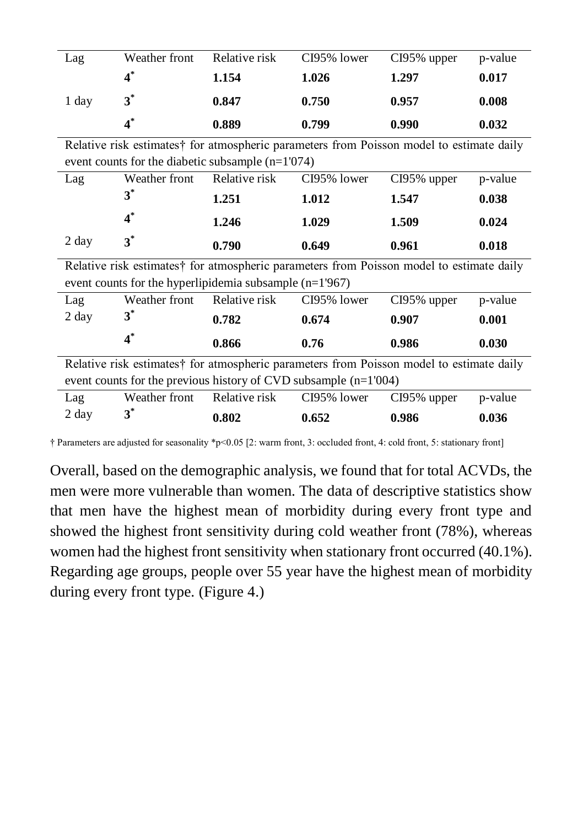| Lag   | Weather front | Relative risk | CI95% lower | CI95% upper | p-value |
|-------|---------------|---------------|-------------|-------------|---------|
|       | $4^*$         | 1.154         | 1.026       | 1.297       | 0.017   |
| 1 day | $3^*$         | 0.847         | 0.750       | 0.957       | 0.008   |
|       |               | 0.889         | 0.799       | 0.990       | 0.032   |

Relative risk estimates† for atmospheric parameters from Poisson model to estimate daily event counts for the diabetic subsample (n=1'074)

| Lag   | Weather front | Relative risk | CI95% lower | $CI95\%$ upper | p-value |
|-------|---------------|---------------|-------------|----------------|---------|
|       | $3^*$         | 1.251         | 1.012       | 1.547          | 0.038   |
|       | $4^*$         | 1.246         | 1.029       | 1.509          | 0.024   |
| 2 day | $3^*$         | 0.790         | 0.649       | 0.961          | 0.018   |

Relative risk estimates† for atmospheric parameters from Poisson model to estimate daily event counts for the hyperlipidemia subsample (n=1'967)

| Lag   | Weather front | Relative risk | CI95% lower | CI95% upper | p-value |
|-------|---------------|---------------|-------------|-------------|---------|
| 2 day | $3^*$         | 0.782         | 0.674       | 0.907       | 0.001   |
|       |               | 0.866         | 0.76        | 0.986       | 0.030   |

Relative risk estimates† for atmospheric parameters from Poisson model to estimate daily event counts for the previous history of CVD subsample (n=1'004)

| Lag   | Weather front | Relative risk | CI95% lower | $CI95\%$ upper | p-value |
|-------|---------------|---------------|-------------|----------------|---------|
| 2 day |               | 0.802         | 0.652       | 0.986          | 0.036   |

† Parameters are adjusted for seasonality \*p<0.05 [2: warm front, 3: occluded front, 4: cold front, 5: stationary front]

Overall, based on the demographic analysis, we found that for total ACVDs, the men were more vulnerable than women. The data of descriptive statistics show that men have the highest mean of morbidity during every front type and showed the highest front sensitivity during cold weather front (78%), whereas women had the highest front sensitivity when stationary front occurred (40.1%). Regarding age groups, people over 55 year have the highest mean of morbidity during every front type. (Figure 4.)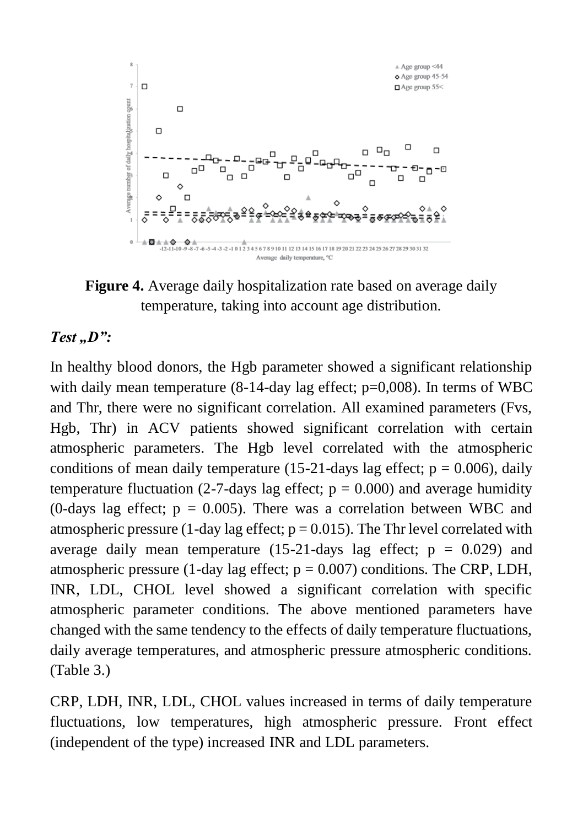

**Figure 4.** Average daily hospitalization rate based on average daily temperature, taking into account age distribution.

#### *Test* ..*D*":

In healthy blood donors, the Hgb parameter showed a significant relationship with daily mean temperature (8-14-day lag effect;  $p=0,008$ ). In terms of WBC and Thr, there were no significant correlation. All examined parameters (Fvs, Hgb, Thr) in ACV patients showed significant correlation with certain atmospheric parameters. The Hgb level correlated with the atmospheric conditions of mean daily temperature (15-21-days lag effect;  $p = 0.006$ ), daily temperature fluctuation (2-7-days lag effect;  $p = 0.000$ ) and average humidity (0-days lag effect;  $p = 0.005$ ). There was a correlation between WBC and atmospheric pressure (1-day lag effect;  $p = 0.015$ ). The Thr level correlated with average daily mean temperature (15-21-days lag effect;  $p = 0.029$ ) and atmospheric pressure (1-day lag effect;  $p = 0.007$ ) conditions. The CRP, LDH, INR, LDL, CHOL level showed a significant correlation with specific atmospheric parameter conditions. The above mentioned parameters have changed with the same tendency to the effects of daily temperature fluctuations, daily average temperatures, and atmospheric pressure atmospheric conditions. (Table 3.)

CRP, LDH, INR, LDL, CHOL values increased in terms of daily temperature fluctuations, low temperatures, high atmospheric pressure. Front effect (independent of the type) increased INR and LDL parameters.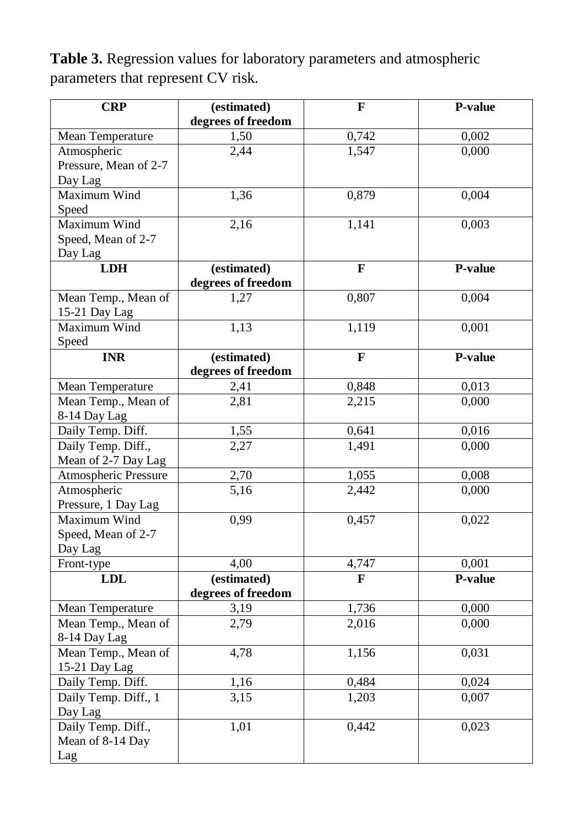**Table 3.** Regression values for laboratory parameters and atmospheric parameters that represent CV risk.

| <b>CRP</b>                           | (estimated)        | F                       | P-value |
|--------------------------------------|--------------------|-------------------------|---------|
|                                      | degrees of freedom |                         |         |
| Mean Temperature                     | 1,50               | 0,742                   | 0,002   |
| Atmospheric                          | 2,44               | 1,547                   | 0,000   |
| Pressure, Mean of 2-7                |                    |                         |         |
| Day Lag                              |                    |                         |         |
| Maximum Wind                         | 1,36               | 0,879                   | 0,004   |
| Speed                                |                    |                         |         |
| Maximum Wind                         | 2,16               | 1,141                   | 0,003   |
| Speed, Mean of 2-7                   |                    |                         |         |
| Day Lag                              |                    |                         |         |
| <b>LDH</b>                           | (estimated)        | $\overline{\mathbf{F}}$ | P-value |
|                                      | degrees of freedom |                         |         |
| Mean Temp., Mean of<br>15-21 Day Lag | 1,27               | 0,807                   | 0,004   |
| Maximum Wind                         | 1,13               | 1,119                   | 0,001   |
| Speed                                |                    |                         |         |
| <b>INR</b>                           | (estimated)        | F                       | P-value |
|                                      | degrees of freedom |                         |         |
| Mean Temperature                     | 2,41               | 0,848                   | 0,013   |
| Mean Temp., Mean of                  | 2,81               | 2,215                   | 0,000   |
| 8-14 Day Lag                         |                    |                         |         |
| Daily Temp. Diff.                    | 1,55               | 0,641                   | 0,016   |
| Daily Temp. Diff.,                   | 2,27               | 1,491                   | 0,000   |
| Mean of 2-7 Day Lag                  |                    |                         |         |
| <b>Atmospheric Pressure</b>          | 2,70               | 1,055                   | 0,008   |
| Atmospheric                          | 5,16               | 2,442                   | 0,000   |
| Pressure, 1 Day Lag                  |                    |                         |         |
| Maximum Wind                         | 0,99               | 0,457                   | 0,022   |
| Speed, Mean of 2-7                   |                    |                         |         |
| Day Lag                              |                    |                         |         |
| Front-type                           | 4,00               | 4,747                   | 0,001   |
| <b>LDL</b>                           | (estimated)        | $\overline{\mathbf{F}}$ | P-value |
|                                      | degrees of freedom |                         |         |
| Mean Temperature                     | 3,19               | 1,736                   | 0,000   |
| Mean Temp., Mean of                  | 2,79               | 2,016                   | 0,000   |
| 8-14 Day Lag                         |                    |                         |         |
| Mean Temp., Mean of                  | 4,78               | 1,156                   | 0,031   |
| 15-21 Day Lag                        |                    |                         |         |
| Daily Temp. Diff.                    | 1,16               | 0,484                   | 0,024   |
| Daily Temp. Diff., 1                 | 3,15               | 1,203                   | 0,007   |
| Day Lag                              |                    |                         |         |
| Daily Temp. Diff.,                   | 1,01               | 0,442                   | 0,023   |
| Mean of 8-14 Day                     |                    |                         |         |
| Lag                                  |                    |                         |         |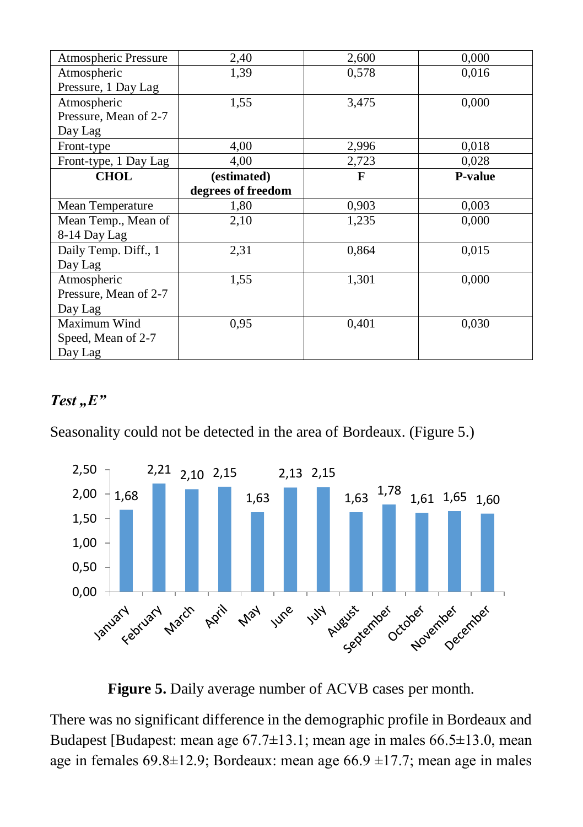| Atmospheric Pressure  | 2,40               | 2,600 | 0,000          |
|-----------------------|--------------------|-------|----------------|
| Atmospheric           | 1,39               | 0,578 | 0,016          |
| Pressure, 1 Day Lag   |                    |       |                |
| Atmospheric           | 1,55               | 3,475 | 0,000          |
| Pressure, Mean of 2-7 |                    |       |                |
| Day Lag               |                    |       |                |
| Front-type            | 4,00               | 2,996 | 0,018          |
| Front-type, 1 Day Lag | 4,00               | 2,723 | 0,028          |
| <b>CHOL</b>           | (estimated)        | F     | <b>P-value</b> |
|                       | degrees of freedom |       |                |
| Mean Temperature      | 1,80               | 0.903 | 0,003          |
| Mean Temp., Mean of   | 2,10               | 1,235 | 0,000          |
| 8-14 Day Lag          |                    |       |                |
| Daily Temp. Diff., 1  | 2,31               | 0,864 | 0.015          |
| Day Lag               |                    |       |                |
| Atmospheric           | 1,55               | 1,301 | 0,000          |
| Pressure, Mean of 2-7 |                    |       |                |
| Day Lag               |                    |       |                |
| Maximum Wind          | 0.95               | 0,401 | 0,030          |
| Speed, Mean of 2-7    |                    |       |                |
| Day Lag               |                    |       |                |

### $Test, E"$

Seasonality could not be detected in the area of Bordeaux. (Figure 5.)



**Figure 5.** Daily average number of ACVB cases per month.

There was no significant difference in the demographic profile in Bordeaux and Budapest [Budapest: mean age 67.7±13.1; mean age in males 66.5±13.0, mean age in females  $69.8 \pm 12.9$ ; Bordeaux: mean age  $66.9 \pm 17.7$ ; mean age in males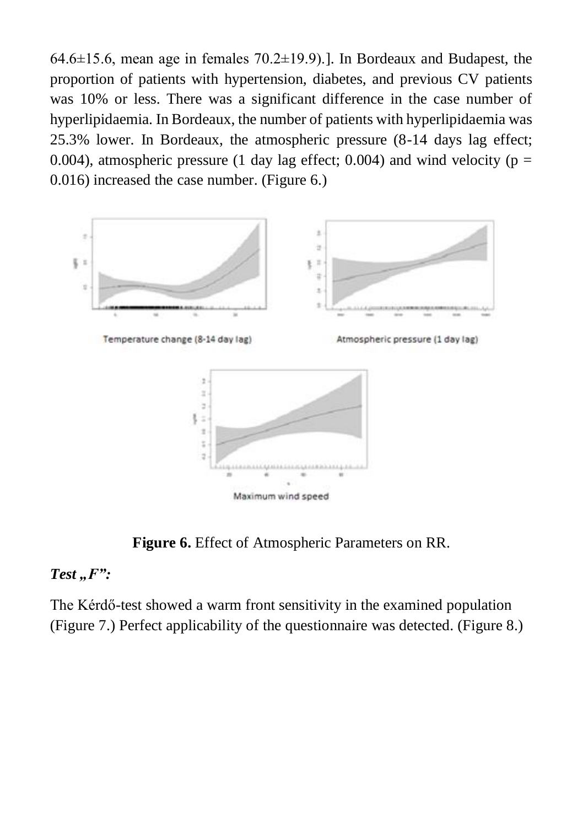$64.6\pm15.6$ , mean age in females  $70.2\pm19.9$ ). In Bordeaux and Budapest, the proportion of patients with hypertension, diabetes, and previous CV patients was 10% or less. There was a significant difference in the case number of hyperlipidaemia. In Bordeaux, the number of patients with hyperlipidaemia was 25.3% lower. In Bordeaux, the atmospheric pressure (8-14 days lag effect; 0.004), atmospheric pressure (1 day lag effect; 0.004) and wind velocity ( $p =$ 0.016) increased the case number. (Figure 6.)



**Figure 6.** Effect of Atmospheric Parameters on RR.

#### *Test* ..*F*":

The Kérdő-test showed a warm front sensitivity in the examined population (Figure 7.) Perfect applicability of the questionnaire was detected. (Figure 8.)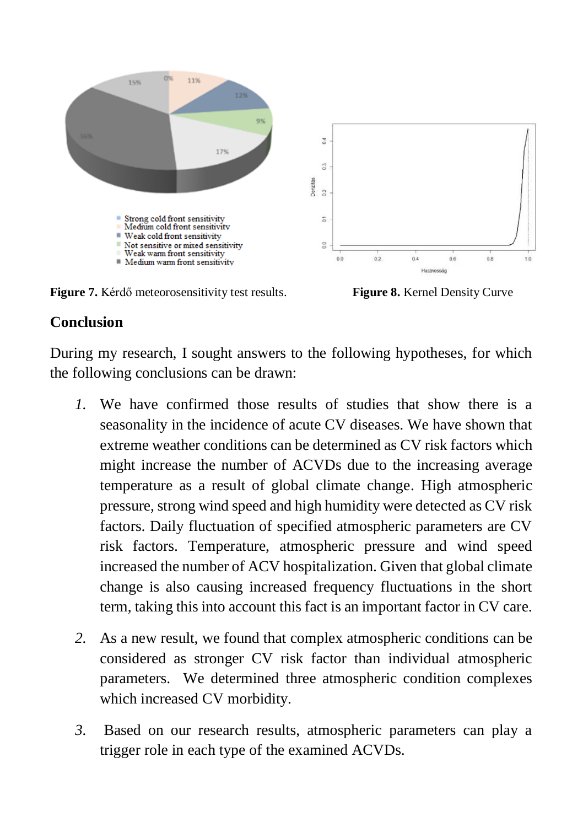

**Figure 7.** Kérdő meteorosensitivity test results. **Figure 8.** Kernel Density Curve

### **Conclusion**

During my research, I sought answers to the following hypotheses, for which the following conclusions can be drawn:

- *1.* We have confirmed those results of studies that show there is a seasonality in the incidence of acute CV diseases. We have shown that extreme weather conditions can be determined as CV risk factors which might increase the number of ACVDs due to the increasing average temperature as a result of global climate change. High atmospheric pressure, strong wind speed and high humidity were detected as CV risk factors. Daily fluctuation of specified atmospheric parameters are CV risk factors. Temperature, atmospheric pressure and wind speed increased the number of ACV hospitalization. Given that global climate change is also causing increased frequency fluctuations in the short term, taking this into account this fact is an important factor in CV care.
- *2.* As a new result, we found that complex atmospheric conditions can be considered as stronger CV risk factor than individual atmospheric parameters. We determined three atmospheric condition complexes which increased CV morbidity.
- *3.* Based on our research results, atmospheric parameters can play a trigger role in each type of the examined ACVDs.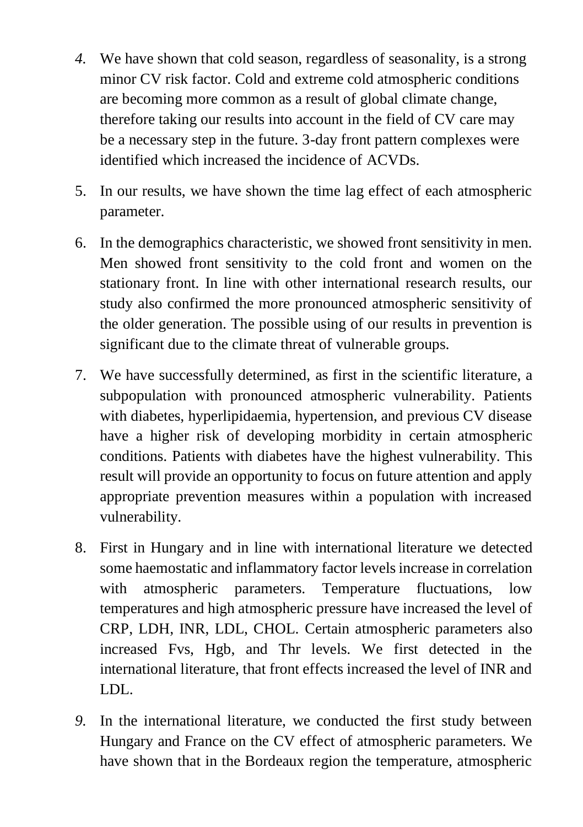- *4.* We have shown that cold season, regardless of seasonality, is a strong minor CV risk factor. Cold and extreme cold atmospheric conditions are becoming more common as a result of global climate change, therefore taking our results into account in the field of CV care may be a necessary step in the future. 3-day front pattern complexes were identified which increased the incidence of ACVDs.
- 5. In our results, we have shown the time lag effect of each atmospheric parameter.
- 6. In the demographics characteristic, we showed front sensitivity in men. Men showed front sensitivity to the cold front and women on the stationary front. In line with other international research results, our study also confirmed the more pronounced atmospheric sensitivity of the older generation. The possible using of our results in prevention is significant due to the climate threat of vulnerable groups.
- 7. We have successfully determined, as first in the scientific literature, a subpopulation with pronounced atmospheric vulnerability. Patients with diabetes, hyperlipidaemia, hypertension, and previous CV disease have a higher risk of developing morbidity in certain atmospheric conditions. Patients with diabetes have the highest vulnerability. This result will provide an opportunity to focus on future attention and apply appropriate prevention measures within a population with increased vulnerability.
- 8. First in Hungary and in line with international literature we detected some haemostatic and inflammatory factor levels increase in correlation with atmospheric parameters. Temperature fluctuations, low temperatures and high atmospheric pressure have increased the level of CRP, LDH, INR, LDL, CHOL. Certain atmospheric parameters also increased Fvs, Hgb, and Thr levels. We first detected in the international literature, that front effects increased the level of INR and LDL.
- *9.* In the international literature, we conducted the first study between Hungary and France on the CV effect of atmospheric parameters. We have shown that in the Bordeaux region the temperature, atmospheric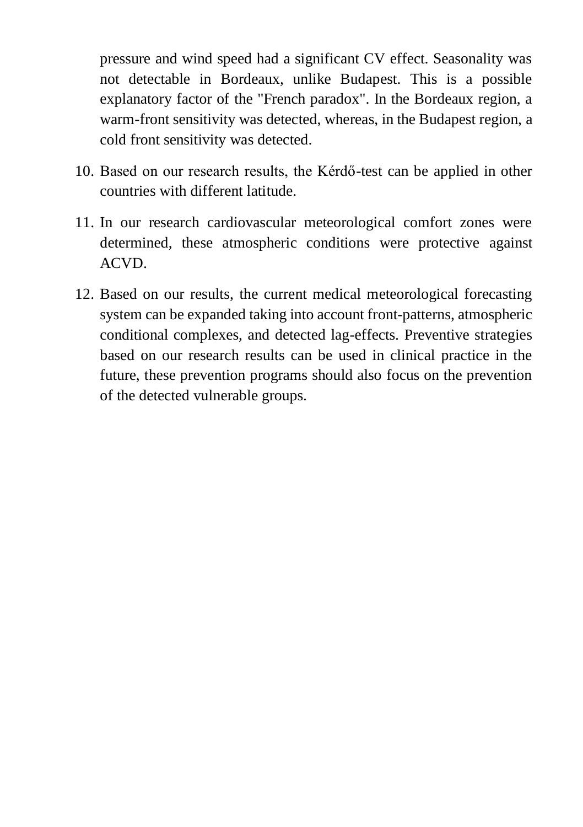pressure and wind speed had a significant CV effect. Seasonality was not detectable in Bordeaux, unlike Budapest. This is a possible explanatory factor of the "French paradox". In the Bordeaux region, a warm-front sensitivity was detected, whereas, in the Budapest region, a cold front sensitivity was detected.

- 10. Based on our research results, the Kérdő-test can be applied in other countries with different latitude.
- 11. In our research cardiovascular meteorological comfort zones were determined, these atmospheric conditions were protective against ACVD.
- 12. Based on our results, the current medical meteorological forecasting system can be expanded taking into account front-patterns, atmospheric conditional complexes, and detected lag-effects. Preventive strategies based on our research results can be used in clinical practice in the future, these prevention programs should also focus on the prevention of the detected vulnerable groups.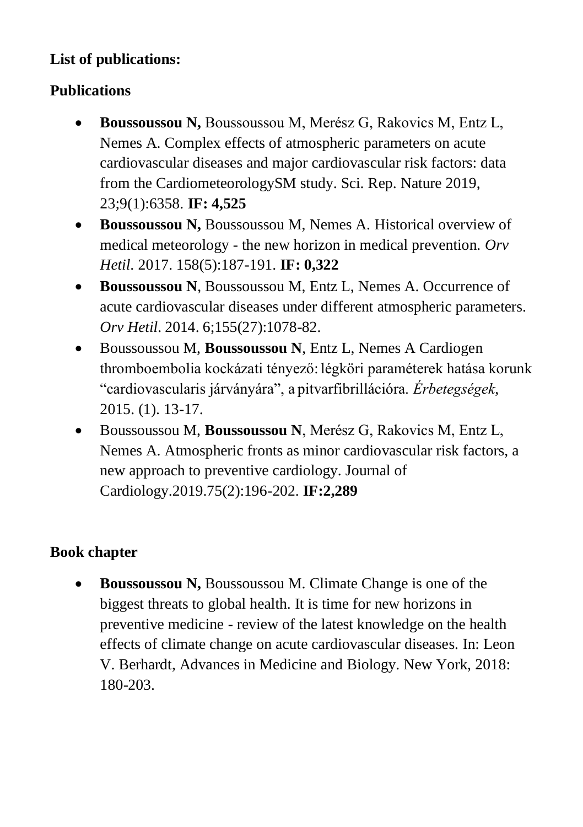# **List of publications:**

# **Publications**

- **Boussoussou N,** Boussoussou M, Merész G, Rakovics M, Entz L, Nemes A. Complex effects of atmospheric parameters on acute cardiovascular diseases and major cardiovascular risk factors: data from the CardiometeorologySM study. Sci. Rep. Nature 2019, 23;9(1):6358. **IF: 4,525**
- **Boussoussou N,** Boussoussou M, Nemes A. Historical overview of medical meteorology - the new horizon in medical prevention. *Orv Hetil*. 2017. 158(5):187-191. **IF: 0,322**
- **Boussoussou N**, Boussoussou M, Entz L, Nemes A. Occurrence of acute cardiovascular diseases under different atmospheric parameters. *Orv Hetil*. 2014. 6;155(27):1078-82.
- Boussoussou M, **Boussoussou N**, Entz L, Nemes A Cardiogen thromboembolia kockázati tényező: légköri paraméterek hatása korunk "cardiovascularis járványára", a pitvarfibrillációra. *Érbetegségek*, 2015. (1). 13-17.
- Boussoussou M, **Boussoussou N**, Merész G, Rakovics M, Entz L, Nemes A. Atmospheric fronts as minor cardiovascular risk factors, a new approach to preventive cardiology. Journal of Cardiology.2019.75(2):196-202. **IF:2,289**

# **Book chapter**

**Boussoussou N, Boussoussou M. Climate Change is one of the** biggest threats to global health. It is time for new horizons in preventive medicine - review of the latest knowledge on the health effects of climate change on acute cardiovascular diseases. In: Leon V. Berhardt, Advances in Medicine and Biology. New York, 2018: 180-203.